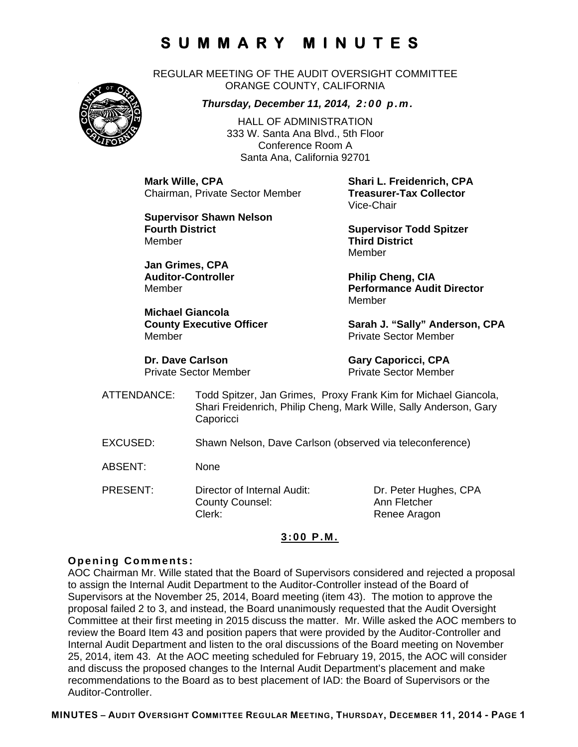REGULAR MEETING OF THE AUDIT OVERSIGHT COMMITTEE ORANGE COUNTY, CALIFORNIA



*Thursday, December 11, 2014, 2:00 p.m.*

HALL OF ADMINISTRATION 333 W. Santa Ana Blvd., 5th Floor Conference Room A Santa Ana, California 92701

**Mark Wille, CPA Shari L. Freidenrich, CPA Chairman, Private Sector Member** 

**Supervisor Shawn Nelson Fourth District Community Community Supervisor Todd Spitzer** Member **Third District** 

**Jan Grimes, CPA**  Auditor-Controller **Philip Cheng, CIA** 

**Michael Giancola**  Member Private Sector Member

Vice-Chair

Member

Member **Performance Audit Director**  Member

County Executive Officer **Sarah J. "Sally" Anderson, CPA** 

**Dr. Dave Carlson Gary Caporicci, CPA** Private Sector Member Private Sector Member

- ATTENDANCE: Todd Spitzer, Jan Grimes, Proxy Frank Kim for Michael Giancola, Shari Freidenrich, Philip Cheng, Mark Wille, Sally Anderson, Gary **Caporicci**
- EXCUSED: Shawn Nelson, Dave Carlson (observed via teleconference)
- ABSENT: None
- PRESENT: Director of Internal Audit: Dr. Peter Hughes, CPA County Counsel: Ann Fletcher Clerk: Clerk: Renee Aragon

## **3:00 P.M.**

#### **Opening Comments:**

AOC Chairman Mr. Wille stated that the Board of Supervisors considered and rejected a proposal to assign the Internal Audit Department to the Auditor-Controller instead of the Board of Supervisors at the November 25, 2014, Board meeting (item 43). The motion to approve the proposal failed 2 to 3, and instead, the Board unanimously requested that the Audit Oversight Committee at their first meeting in 2015 discuss the matter. Mr. Wille asked the AOC members to review the Board Item 43 and position papers that were provided by the Auditor-Controller and Internal Audit Department and listen to the oral discussions of the Board meeting on November 25, 2014, item 43. At the AOC meeting scheduled for February 19, 2015, the AOC will consider and discuss the proposed changes to the Internal Audit Department's placement and make recommendations to the Board as to best placement of IAD: the Board of Supervisors or the Auditor-Controller.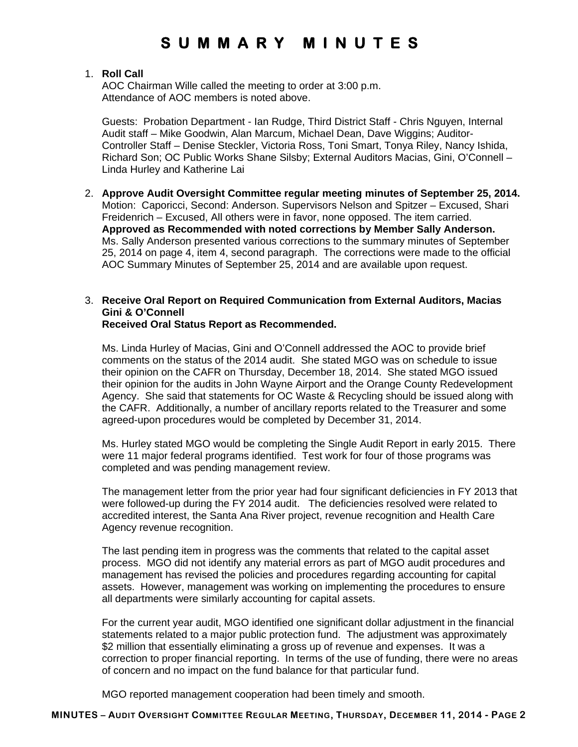## 1. **Roll Call**

AOC Chairman Wille called the meeting to order at 3:00 p.m. Attendance of AOC members is noted above.

Guests: Probation Department - Ian Rudge, Third District Staff - Chris Nguyen, Internal Audit staff – Mike Goodwin, Alan Marcum, Michael Dean, Dave Wiggins; Auditor-Controller Staff – Denise Steckler, Victoria Ross, Toni Smart, Tonya Riley, Nancy Ishida, Richard Son; OC Public Works Shane Silsby; External Auditors Macias, Gini, O'Connell – Linda Hurley and Katherine Lai

2. **Approve Audit Oversight Committee regular meeting minutes of September 25, 2014.** Motion: Caporicci, Second: Anderson. Supervisors Nelson and Spitzer – Excused, Shari Freidenrich – Excused, All others were in favor, none opposed. The item carried. **Approved as Recommended with noted corrections by Member Sally Anderson.**  Ms. Sally Anderson presented various corrections to the summary minutes of September 25, 2014 on page 4, item 4, second paragraph. The corrections were made to the official AOC Summary Minutes of September 25, 2014 and are available upon request.

#### 3. **Receive Oral Report on Required Communication from External Auditors, Macias Gini & O'Connell Received Oral Status Report as Recommended.**

Ms. Linda Hurley of Macias, Gini and O'Connell addressed the AOC to provide brief comments on the status of the 2014 audit. She stated MGO was on schedule to issue their opinion on the CAFR on Thursday, December 18, 2014. She stated MGO issued their opinion for the audits in John Wayne Airport and the Orange County Redevelopment Agency. She said that statements for OC Waste & Recycling should be issued along with the CAFR. Additionally, a number of ancillary reports related to the Treasurer and some agreed-upon procedures would be completed by December 31, 2014.

Ms. Hurley stated MGO would be completing the Single Audit Report in early 2015. There were 11 major federal programs identified. Test work for four of those programs was completed and was pending management review.

The management letter from the prior year had four significant deficiencies in FY 2013 that were followed-up during the FY 2014 audit. The deficiencies resolved were related to accredited interest, the Santa Ana River project, revenue recognition and Health Care Agency revenue recognition.

The last pending item in progress was the comments that related to the capital asset process. MGO did not identify any material errors as part of MGO audit procedures and management has revised the policies and procedures regarding accounting for capital assets. However, management was working on implementing the procedures to ensure all departments were similarly accounting for capital assets.

For the current year audit, MGO identified one significant dollar adjustment in the financial statements related to a major public protection fund. The adjustment was approximately \$2 million that essentially eliminating a gross up of revenue and expenses. It was a correction to proper financial reporting. In terms of the use of funding, there were no areas of concern and no impact on the fund balance for that particular fund.

MGO reported management cooperation had been timely and smooth.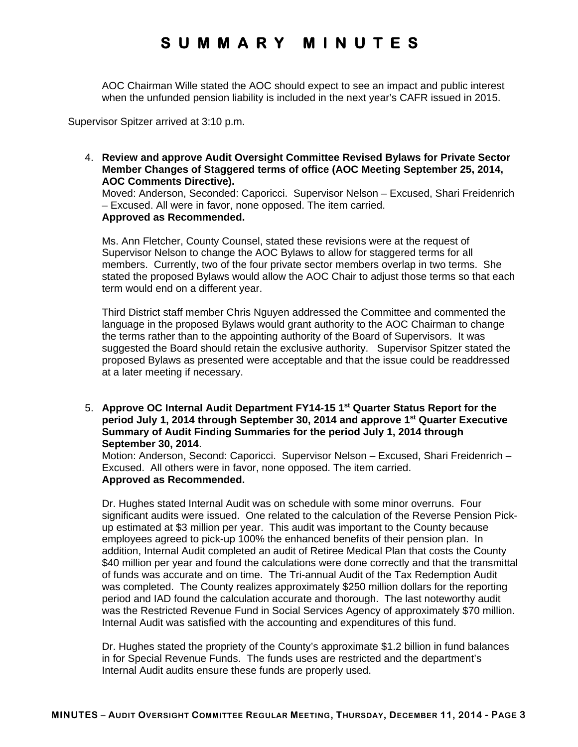AOC Chairman Wille stated the AOC should expect to see an impact and public interest when the unfunded pension liability is included in the next year's CAFR issued in 2015.

Supervisor Spitzer arrived at 3:10 p.m.

4. **Review and approve Audit Oversight Committee Revised Bylaws for Private Sector Member Changes of Staggered terms of office (AOC Meeting September 25, 2014, AOC Comments Directive).**

Moved: Anderson, Seconded: Caporicci. Supervisor Nelson – Excused, Shari Freidenrich – Excused. All were in favor, none opposed. The item carried. **Approved as Recommended.** 

Ms. Ann Fletcher, County Counsel, stated these revisions were at the request of Supervisor Nelson to change the AOC Bylaws to allow for staggered terms for all members. Currently, two of the four private sector members overlap in two terms. She stated the proposed Bylaws would allow the AOC Chair to adjust those terms so that each term would end on a different year.

Third District staff member Chris Nguyen addressed the Committee and commented the language in the proposed Bylaws would grant authority to the AOC Chairman to change the terms rather than to the appointing authority of the Board of Supervisors. It was suggested the Board should retain the exclusive authority. Supervisor Spitzer stated the proposed Bylaws as presented were acceptable and that the issue could be readdressed at a later meeting if necessary.

5. **Approve OC Internal Audit Department FY14-15 1st Quarter Status Report for the period July 1, 2014 through September 30, 2014 and approve 1st Quarter Executive Summary of Audit Finding Summaries for the period July 1, 2014 through September 30, 2014**.

Motion: Anderson, Second: Caporicci. Supervisor Nelson – Excused, Shari Freidenrich – Excused. All others were in favor, none opposed. The item carried. **Approved as Recommended.** 

Dr. Hughes stated Internal Audit was on schedule with some minor overruns. Four significant audits were issued. One related to the calculation of the Reverse Pension Pickup estimated at \$3 million per year. This audit was important to the County because employees agreed to pick-up 100% the enhanced benefits of their pension plan. In addition, Internal Audit completed an audit of Retiree Medical Plan that costs the County \$40 million per year and found the calculations were done correctly and that the transmittal of funds was accurate and on time. The Tri-annual Audit of the Tax Redemption Audit was completed. The County realizes approximately \$250 million dollars for the reporting period and IAD found the calculation accurate and thorough. The last noteworthy audit was the Restricted Revenue Fund in Social Services Agency of approximately \$70 million. Internal Audit was satisfied with the accounting and expenditures of this fund.

Dr. Hughes stated the propriety of the County's approximate \$1.2 billion in fund balances in for Special Revenue Funds. The funds uses are restricted and the department's Internal Audit audits ensure these funds are properly used.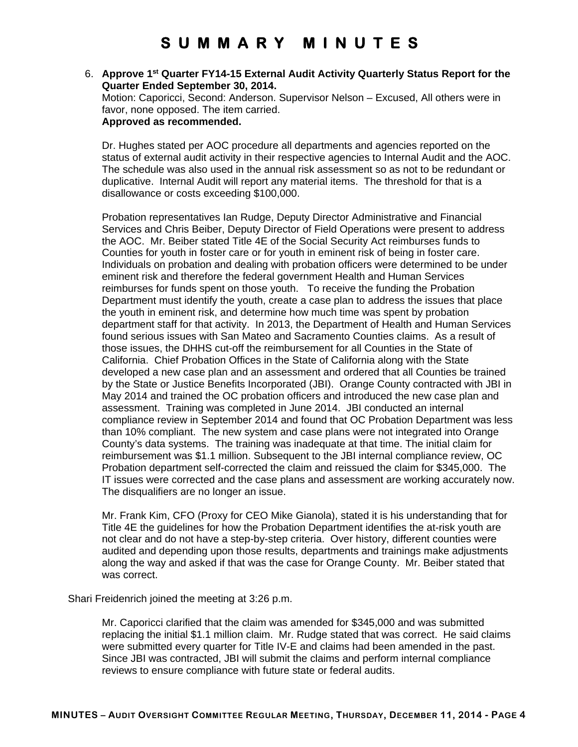## 6. **Approve 1st Quarter FY14-15 External Audit Activity Quarterly Status Report for the Quarter Ended September 30, 2014.**

Motion: Caporicci, Second: Anderson. Supervisor Nelson – Excused, All others were in favor, none opposed. The item carried. **Approved as recommended.** 

Dr. Hughes stated per AOC procedure all departments and agencies reported on the status of external audit activity in their respective agencies to Internal Audit and the AOC. The schedule was also used in the annual risk assessment so as not to be redundant or duplicative. Internal Audit will report any material items. The threshold for that is a disallowance or costs exceeding \$100,000.

Probation representatives Ian Rudge, Deputy Director Administrative and Financial Services and Chris Beiber, Deputy Director of Field Operations were present to address the AOC. Mr. Beiber stated Title 4E of the Social Security Act reimburses funds to Counties for youth in foster care or for youth in eminent risk of being in foster care. Individuals on probation and dealing with probation officers were determined to be under eminent risk and therefore the federal government Health and Human Services reimburses for funds spent on those youth. To receive the funding the Probation Department must identify the youth, create a case plan to address the issues that place the youth in eminent risk, and determine how much time was spent by probation department staff for that activity. In 2013, the Department of Health and Human Services found serious issues with San Mateo and Sacramento Counties claims. As a result of those issues, the DHHS cut-off the reimbursement for all Counties in the State of California. Chief Probation Offices in the State of California along with the State developed a new case plan and an assessment and ordered that all Counties be trained by the State or Justice Benefits Incorporated (JBI). Orange County contracted with JBI in May 2014 and trained the OC probation officers and introduced the new case plan and assessment. Training was completed in June 2014. JBI conducted an internal compliance review in September 2014 and found that OC Probation Department was less than 10% compliant. The new system and case plans were not integrated into Orange County's data systems. The training was inadequate at that time. The initial claim for reimbursement was \$1.1 million. Subsequent to the JBI internal compliance review, OC Probation department self-corrected the claim and reissued the claim for \$345,000. The IT issues were corrected and the case plans and assessment are working accurately now. The disqualifiers are no longer an issue.

Mr. Frank Kim, CFO (Proxy for CEO Mike Gianola), stated it is his understanding that for Title 4E the guidelines for how the Probation Department identifies the at-risk youth are not clear and do not have a step-by-step criteria. Over history, different counties were audited and depending upon those results, departments and trainings make adjustments along the way and asked if that was the case for Orange County. Mr. Beiber stated that was correct.

Shari Freidenrich joined the meeting at 3:26 p.m.

Mr. Caporicci clarified that the claim was amended for \$345,000 and was submitted replacing the initial \$1.1 million claim. Mr. Rudge stated that was correct. He said claims were submitted every quarter for Title IV-E and claims had been amended in the past. Since JBI was contracted, JBI will submit the claims and perform internal compliance reviews to ensure compliance with future state or federal audits.